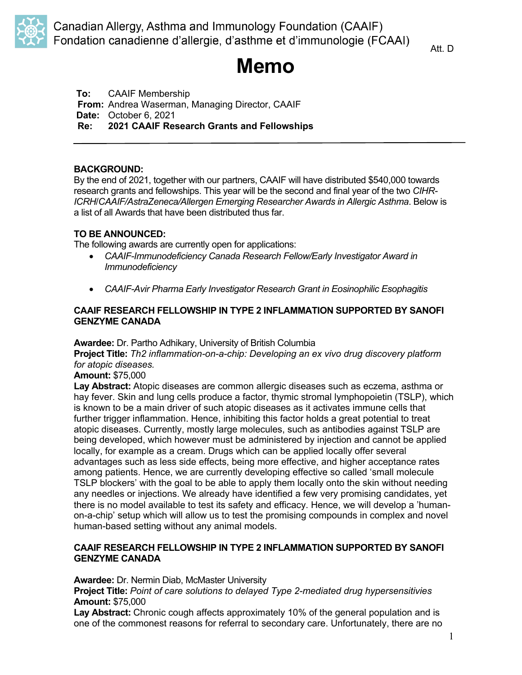

# **Memo**

**To:** CAAIF Membership **From:** Andrea Waserman, Managing Director, CAAIF **Date:** October 6, 2021 **Re: 2021 CAAIF Research Grants and Fellowships**

### **BACKGROUND:**

By the end of 2021, together with our partners, CAAIF will have distributed \$540,000 towards research grants and fellowships. This year will be the second and final year of the two *CIHR-ICRH*/*CAAIF/AstraZeneca/Allergen Emerging Researcher Awards in Allergic Asthma*. Below is a list of all Awards that have been distributed thus far.

### **TO BE ANNOUNCED:**

The following awards are currently open for applications:

- *CAAIF-Immunodeficiency Canada Research Fellow/Early Investigator Award in Immunodeficiency*
- *CAAIF-Avir Pharma Early Investigator Research Grant in Eosinophilic Esophagitis*

### **CAAIF RESEARCH FELLOWSHIP IN TYPE 2 INFLAMMATION SUPPORTED BY SANOFI GENZYME CANADA**

**Awardee:** Dr. Partho Adhikary, University of British Columbia

**Project Title:** *Th2 inflammation-on-a-chip: Developing an ex vivo drug discovery platform for atopic diseases.*

**Amount:** \$75,000

**Lay Abstract:** Atopic diseases are common allergic diseases such as eczema, asthma or hay fever. Skin and lung cells produce a factor, thymic stromal lymphopoietin (TSLP), which is known to be a main driver of such atopic diseases as it activates immune cells that further trigger inflammation. Hence, inhibiting this factor holds a great potential to treat atopic diseases. Currently, mostly large molecules, such as antibodies against TSLP are being developed, which however must be administered by injection and cannot be applied locally, for example as a cream. Drugs which can be applied locally offer several advantages such as less side effects, being more effective, and higher acceptance rates among patients. Hence, we are currently developing effective so called 'small molecule TSLP blockers' with the goal to be able to apply them locally onto the skin without needing any needles or injections. We already have identified a few very promising candidates, yet there is no model available to test its safety and efficacy. Hence, we will develop a 'humanon-a-chip' setup which will allow us to test the promising compounds in complex and novel human-based setting without any animal models.

### **CAAIF RESEARCH FELLOWSHIP IN TYPE 2 INFLAMMATION SUPPORTED BY SANOFI GENZYME CANADA**

**Awardee:** Dr. Nermin Diab, McMaster University

**Project Title:** *Point of care solutions to delayed Type 2-mediated drug hypersensitivies* **Amount:** \$75,000

**Lay Abstract:** Chronic cough affects approximately 10% of the general population and is one of the commonest reasons for referral to secondary care. Unfortunately, there are no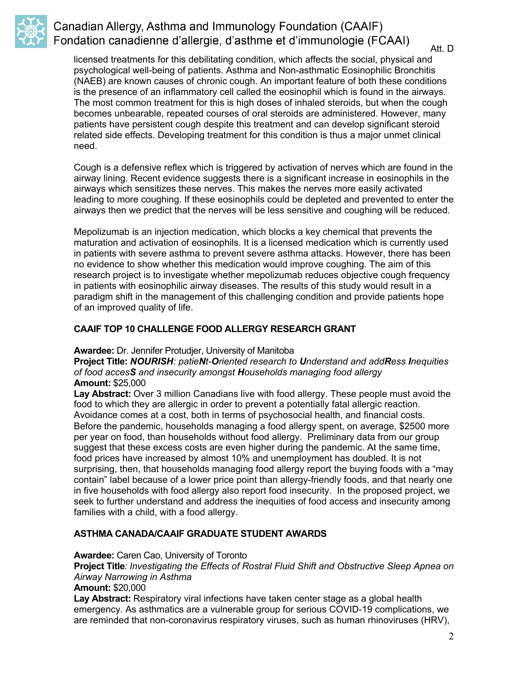

Att. D

licensed treatments for this debilitating condition, which affects the social, physical and psychological well-being of patients. Asthma and Non-asthmatic Eosinophilic Bronchitis (NAEB) are known causes of chronic cough. An important feature of both these conditions is the presence of an inflammatory cell called the eosinophil which is found in the airways. The most common treatment for this is high doses of inhaled steroids, but when the cough becomes unbearable, repeated courses of oral steroids are administered. However, many patients have persistent cough despite this treatment and can develop significant steroid related side effects. Developing treatment for this condition is thus a major unmet clinical need.

Cough is a defensive reflex which is triggered by activation of nerves which are found in the airway lining. Recent evidence suggests there is a significant increase in eosinophils in the airways which sensitizes these nerves. This makes the nerves more easily activated leading to more coughing. If these eosinophils could be depleted and prevented to enter the airways then we predict that the nerves will be less sensitive and coughing will be reduced.

Mepolizumab is an injection medication, which blocks a key chemical that prevents the maturation and activation of eosinophils. It is a licensed medication which is currently used in patients with severe asthma to prevent severe asthma attacks. However, there has been no evidence to show whether this medication would improve coughing. The aim of this research project is to investigate whether mepolizumab reduces objective cough frequency in patients with eosinophilic airway diseases. The results of this study would result in a paradigm shift in the management of this challenging condition and provide patients hope of an improved quality of life.

### **CAAIF TOP 10 CHALLENGE FOOD ALLERGY RESEARCH GRANT**

### **Awardee:** Dr. Jennifer Protudjer, University of Manitoba

**Project Title:** *NOURISH: patieNt-Oriented research to Understand and addRess Inequities of food accesS and insecurity amongst Households managing food allergy* **Amount:** \$25,000

Lay Abstract: Over 3 million Canadians live with food allergy. These people must avoid the food to which they are allergic in order to prevent a potentially fatal allergic reaction. Avoidance comes at a cost, both in terms of psychosocial health, and financial costs. Before the pandemic, households managing a food allergy spent, on average, \$2500 more per year on food, than households without food allergy. Preliminary data from our group suggest that these excess costs are even higher during the pandemic. At the same time, food prices have increased by almost 10% and unemployment has doubled. It is not surprising, then, that households managing food allergy report the buying foods with a "may contain" label because of a lower price point than allergy-friendly foods, and that nearly one in five households with food allergy also report food insecurity. In the proposed project, we seek to further understand and address the inequities of food access and insecurity among families with a child, with a food allergy.

### **ASTHMA CANADA/CAAIF GRADUATE STUDENT AWARDS**

**Awardee:** Caren Cao, University of Toronto

**Project Title***: Investigating the Effects of Rostral Fluid Shift and Obstructive Sleep Apnea on Airway Narrowing in Asthma*

**Amount:** \$20,000

**Lay Abstract:** Respiratory viral infections have taken center stage as a global health emergency. As asthmatics are a vulnerable group for serious COVID-19 complications, we are reminded that non-coronavirus respiratory viruses, such as human rhinoviruses (HRV),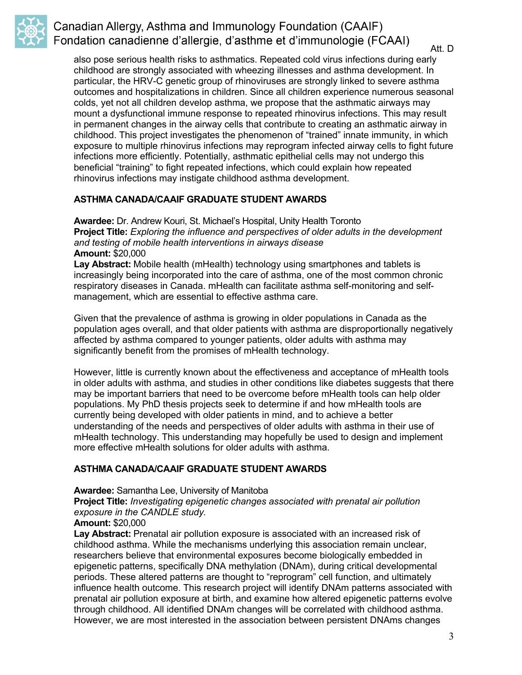

Att. D

also pose serious health risks to asthmatics. Repeated cold virus infections during early childhood are strongly associated with wheezing illnesses and asthma development. In particular, the HRV-C genetic group of rhinoviruses are strongly linked to severe asthma outcomes and hospitalizations in children. Since all children experience numerous seasonal colds, yet not all children develop asthma, we propose that the asthmatic airways may mount a dysfunctional immune response to repeated rhinovirus infections. This may result in permanent changes in the airway cells that contribute to creating an asthmatic airway in childhood. This project investigates the phenomenon of "trained" innate immunity, in which exposure to multiple rhinovirus infections may reprogram infected airway cells to fight future infections more efficiently. Potentially, asthmatic epithelial cells may not undergo this beneficial "training" to fight repeated infections, which could explain how repeated rhinovirus infections may instigate childhood asthma development.

#### **ASTHMA CANADA/CAAIF GRADUATE STUDENT AWARDS**

**Awardee:** Dr. Andrew Kouri, St. Michael's Hospital, Unity Health Toronto **Project Title:** *Exploring the influence and perspectives of older adults in the development and testing of mobile health interventions in airways disease* **Amount:** \$20,000

Lay Abstract: Mobile health (mHealth) technology using smartphones and tablets is increasingly being incorporated into the care of asthma, one of the most common chronic respiratory diseases in Canada. mHealth can facilitate asthma self-monitoring and selfmanagement, which are essential to effective asthma care.

Given that the prevalence of asthma is growing in older populations in Canada as the population ages overall, and that older patients with asthma are disproportionally negatively affected by asthma compared to younger patients, older adults with asthma may significantly benefit from the promises of mHealth technology.

However, little is currently known about the effectiveness and acceptance of mHealth tools in older adults with asthma, and studies in other conditions like diabetes suggests that there may be important barriers that need to be overcome before mHealth tools can help older populations. My PhD thesis projects seek to determine if and how mHealth tools are currently being developed with older patients in mind, and to achieve a better understanding of the needs and perspectives of older adults with asthma in their use of mHealth technology. This understanding may hopefully be used to design and implement more effective mHealth solutions for older adults with asthma.

### **ASTHMA CANADA/CAAIF GRADUATE STUDENT AWARDS**

**Awardee:** Samantha Lee, University of Manitoba

**Project Title:** *Investigating epigenetic changes associated with prenatal air pollution exposure in the CANDLE study.*

#### **Amount:** \$20,000

Lay Abstract: Prenatal air pollution exposure is associated with an increased risk of childhood asthma. While the mechanisms underlying this association remain unclear, researchers believe that environmental exposures become biologically embedded in epigenetic patterns, specifically DNA methylation (DNAm), during critical developmental periods. These altered patterns are thought to "reprogram" cell function, and ultimately influence health outcome. This research project will identify DNAm patterns associated with prenatal air pollution exposure at birth, and examine how altered epigenetic patterns evolve through childhood. All identified DNAm changes will be correlated with childhood asthma. However, we are most interested in the association between persistent DNAms changes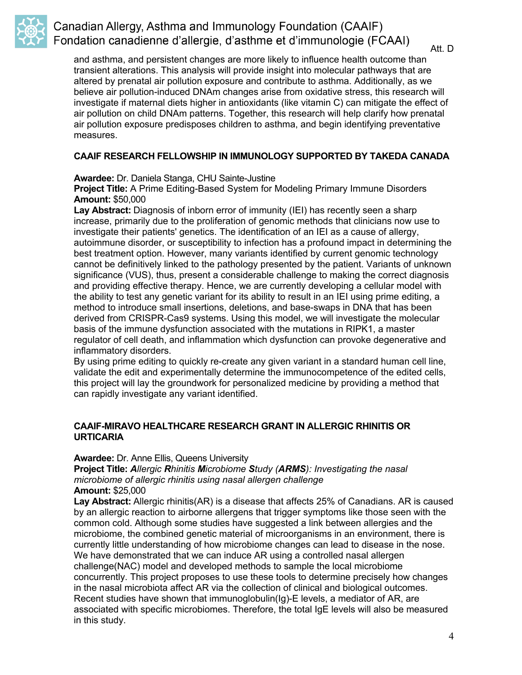

Att. D

and asthma, and persistent changes are more likely to influence health outcome than transient alterations. This analysis will provide insight into molecular pathways that are altered by prenatal air pollution exposure and contribute to asthma. Additionally, as we believe air pollution-induced DNAm changes arise from oxidative stress, this research will investigate if maternal diets higher in antioxidants (like vitamin C) can mitigate the effect of air pollution on child DNAm patterns. Together, this research will help clarify how prenatal air pollution exposure predisposes children to asthma, and begin identifying preventative measures.

### **CAAIF RESEARCH FELLOWSHIP IN IMMUNOLOGY SUPPORTED BY TAKEDA CANADA**

**Awardee:** Dr. Daniela Stanga, CHU Sainte-Justine

**Project Title:** A Prime Editing-Based System for Modeling Primary Immune Disorders **Amount:** \$50,000

Lay Abstract: Diagnosis of inborn error of immunity (IEI) has recently seen a sharp increase, primarily due to the proliferation of genomic methods that clinicians now use to investigate their patients' genetics. The identification of an IEI as a cause of allergy, autoimmune disorder, or susceptibility to infection has a profound impact in determining the best treatment option. However, many variants identified by current genomic technology cannot be definitively linked to the pathology presented by the patient. Variants of unknown significance (VUS), thus, present a considerable challenge to making the correct diagnosis and providing effective therapy. Hence, we are currently developing a cellular model with the ability to test any genetic variant for its ability to result in an IEI using prime editing, a method to introduce small insertions, deletions, and base-swaps in DNA that has been derived from CRISPR-Cas9 systems. Using this model, we will investigate the molecular basis of the immune dysfunction associated with the mutations in RIPK1, a master regulator of cell death, and inflammation which dysfunction can provoke degenerative and inflammatory disorders.

By using prime editing to quickly re-create any given variant in a standard human cell line, validate the edit and experimentally determine the immunocompetence of the edited cells, this project will lay the groundwork for personalized medicine by providing a method that can rapidly investigate any variant identified.

### **CAAIF-MIRAVO HEALTHCARE RESEARCH GRANT IN ALLERGIC RHINITIS OR URTICARIA**

#### **Awardee:** Dr. Anne Ellis, Queens University

**Project Title:** *Allergic Rhinitis Microbiome Study (ARMS): Investigating the nasal microbiome of allergic rhinitis using nasal allergen challenge* **Amount:** \$25,000

**Lay Abstract:** Allergic rhinitis(AR) is a disease that affects 25% of Canadians. AR is caused by an allergic reaction to airborne allergens that trigger symptoms like those seen with the common cold. Although some studies have suggested a link between allergies and the microbiome, the combined genetic material of microorganisms in an environment, there is currently little understanding of how microbiome changes can lead to disease in the nose. We have demonstrated that we can induce AR using a controlled nasal allergen challenge(NAC) model and developed methods to sample the local microbiome concurrently. This project proposes to use these tools to determine precisely how changes in the nasal microbiota affect AR via the collection of clinical and biological outcomes. Recent studies have shown that immunoglobulin(Ig)-E levels, a mediator of AR, are associated with specific microbiomes. Therefore, the total IgE levels will also be measured in this study.